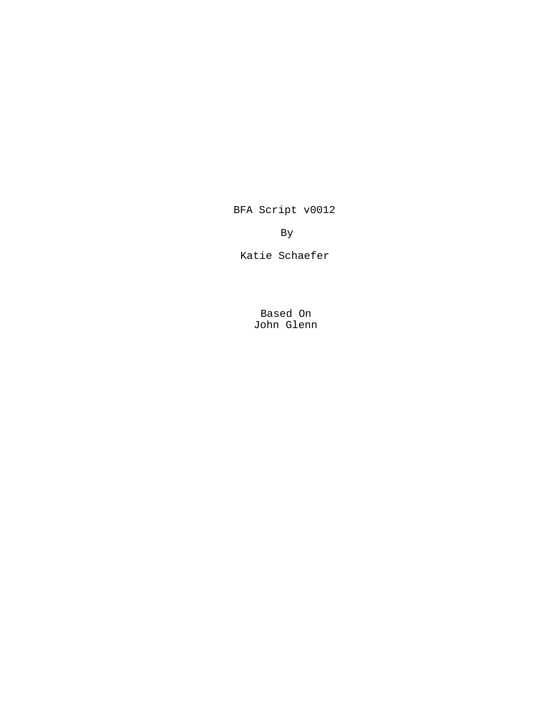BFA Script v0012

By

Katie Schaefer

Based On John Glenn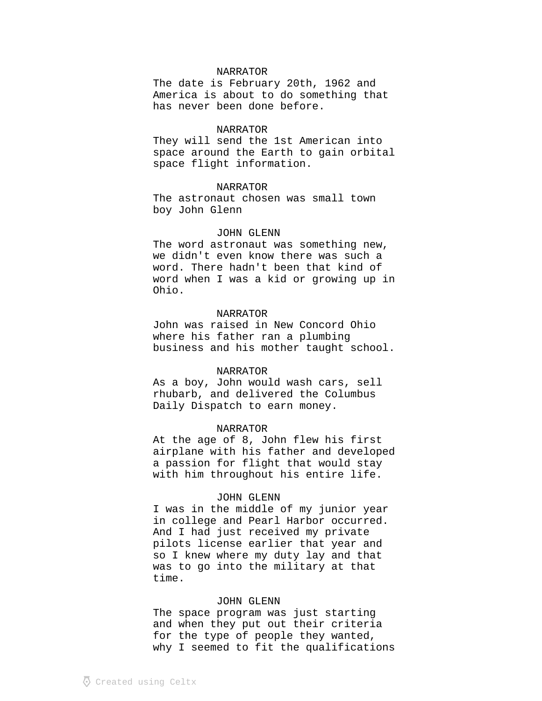The date is February 20th, 1962 and America is about to do something that has never been done before.

# NARRATOR

They will send the 1st American into space around the Earth to gain orbital space flight information.

# NARRATOR

The astronaut chosen was small town boy John Glenn

# JOHN GLENN

The word astronaut was something new, we didn't even know there was such a word. There hadn't been that kind of word when I was a kid or growing up in Ohio.

### NARRATOR

John was raised in New Concord Ohio where his father ran a plumbing business and his mother taught school.

### NARRATOR

As a boy, John would wash cars, sell rhubarb, and delivered the Columbus Daily Dispatch to earn money.

## NARRATOR

At the age of 8, John flew his first airplane with his father and developed a passion for flight that would stay with him throughout his entire life.

### JOHN GLENN

I was in the middle of my junior year in college and Pearl Harbor occurred. And I had just received my private pilots license earlier that year and so I knew where my duty lay and that was to go into the military at that time.

# JOHN GLENN

The space program was just starting and when they put out their criteria for the type of people they wanted, why I seemed to fit the qualifications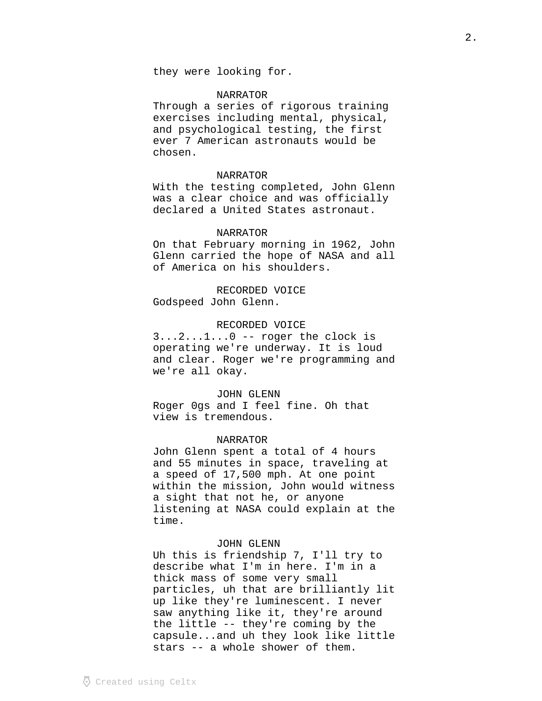Through a series of rigorous training exercises including mental, physical, and psychological testing, the first ever 7 American astronauts would be chosen.

# NARRATOR

With the testing completed, John Glenn was a clear choice and was officially declared a United States astronaut.

### NARRATOR

On that February morning in 1962, John Glenn carried the hope of NASA and all of America on his shoulders.

RECORDED VOICE Godspeed John Glenn.

# RECORDED VOICE

 $3...2...1...0$  -- roger the clock is operating we're underway. It is loud and clear. Roger we're programming and we're all okay.

### JOHN GLENN

Roger 0gs and I feel fine. Oh that view is tremendous.

### NARRATOR

John Glenn spent a total of 4 hours and 55 minutes in space, traveling at a speed of 17,500 mph. At one point within the mission, John would witness a sight that not he, or anyone listening at NASA could explain at the time.

#### JOHN GLENN

Uh this is friendship 7, I'll try to describe what I'm in here. I'm in a thick mass of some very small particles, uh that are brilliantly lit up like they're luminescent. I never saw anything like it, they're around the little -- they're coming by the capsule...and uh they look like little stars -- a whole shower of them.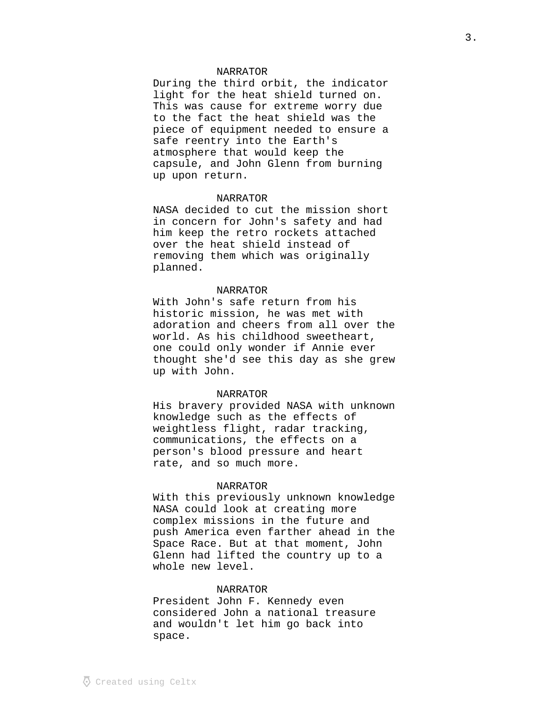During the third orbit, the indicator light for the heat shield turned on. This was cause for extreme worry due to the fact the heat shield was the piece of equipment needed to ensure a safe reentry into the Earth's atmosphere that would keep the capsule, and John Glenn from burning up upon return.

# NARRATOR

NASA decided to cut the mission short in concern for John's safety and had him keep the retro rockets attached over the heat shield instead of removing them which was originally planned.

# NARRATOR

With John's safe return from his historic mission, he was met with adoration and cheers from all over the world. As his childhood sweetheart, one could only wonder if Annie ever thought she'd see this day as she grew up with John.

### NARRATOR

His bravery provided NASA with unknown knowledge such as the effects of weightless flight, radar tracking, communications, the effects on a person's blood pressure and heart rate, and so much more.

### NARRATOR

With this previously unknown knowledge NASA could look at creating more complex missions in the future and push America even farther ahead in the Space Race. But at that moment, John Glenn had lifted the country up to a whole new level.

# NARRATOR

President John F. Kennedy even considered John a national treasure and wouldn't let him go back into space.